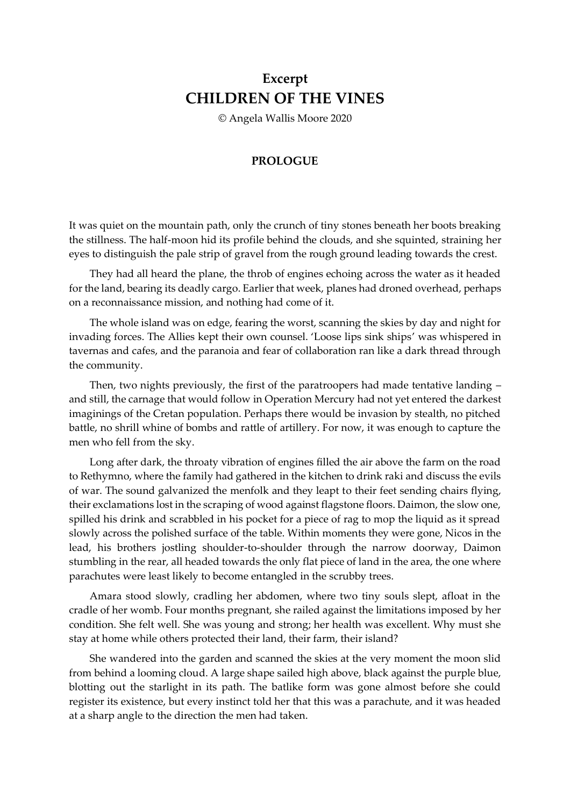## **Excerpt CHILDREN OF THE VINES**

© Angela Wallis Moore 2020

## **PROLOGUE**

It was quiet on the mountain path, only the crunch of tiny stones beneath her boots breaking the stillness. The half-moon hid its profile behind the clouds, and she squinted, straining her eyes to distinguish the pale strip of gravel from the rough ground leading towards the crest.

They had all heard the plane, the throb of engines echoing across the water as it headed for the land, bearing its deadly cargo. Earlier that week, planes had droned overhead, perhaps on a reconnaissance mission, and nothing had come of it.

The whole island was on edge, fearing the worst, scanning the skies by day and night for invading forces. The Allies kept their own counsel. 'Loose lips sink ships' was whispered in tavernas and cafes, and the paranoia and fear of collaboration ran like a dark thread through the community.

Then, two nights previously, the first of the paratroopers had made tentative landing – and still, the carnage that would follow in Operation Mercury had not yet entered the darkest imaginings of the Cretan population. Perhaps there would be invasion by stealth, no pitched battle, no shrill whine of bombs and rattle of artillery. For now, it was enough to capture the men who fell from the sky.

Long after dark, the throaty vibration of engines filled the air above the farm on the road to Rethymno, where the family had gathered in the kitchen to drink raki and discuss the evils of war. The sound galvanized the menfolk and they leapt to their feet sending chairs flying, their exclamations lost in the scraping of wood against flagstone floors. Daimon, the slow one, spilled his drink and scrabbled in his pocket for a piece of rag to mop the liquid as it spread slowly across the polished surface of the table. Within moments they were gone, Nicos in the lead, his brothers jostling shoulder-to-shoulder through the narrow doorway, Daimon stumbling in the rear, all headed towards the only flat piece of land in the area, the one where parachutes were least likely to become entangled in the scrubby trees.

Amara stood slowly, cradling her abdomen, where two tiny souls slept, afloat in the cradle of her womb. Four months pregnant, she railed against the limitations imposed by her condition. She felt well. She was young and strong; her health was excellent. Why must she stay at home while others protected their land, their farm, their island?

She wandered into the garden and scanned the skies at the very moment the moon slid from behind a looming cloud. A large shape sailed high above, black against the purple blue, blotting out the starlight in its path. The batlike form was gone almost before she could register its existence, but every instinct told her that this was a parachute, and it was headed at a sharp angle to the direction the men had taken.